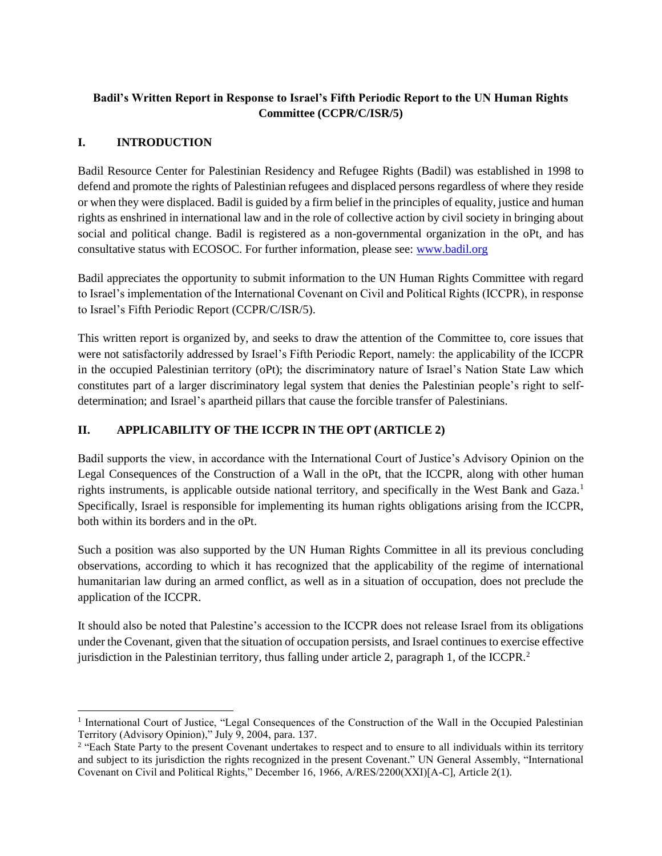## **Badil's Written Report in Response to Israel's Fifth Periodic Report to the UN Human Rights Committee (CCPR/C/ISR/5)**

## **I. INTRODUCTION**

Badil Resource Center for Palestinian Residency and Refugee Rights (Badil) was established in 1998 to defend and promote the rights of Palestinian refugees and displaced persons regardless of where they reside or when they were displaced. Badil is guided by a firm belief in the principles of equality, justice and human rights as enshrined in international law and in the role of collective action by civil society in bringing about social and political change. Badil is registered as a non-governmental organization in the oPt, and has consultative status with ECOSOC. For further information, please see: [www.badil.org](http://www.badil.org/)

Badil appreciates the opportunity to submit information to the UN Human Rights Committee with regard to Israel's implementation of the International Covenant on Civil and Political Rights (ICCPR), in response to Israel's Fifth Periodic Report (CCPR/C/ISR/5).

This written report is organized by, and seeks to draw the attention of the Committee to, core issues that were not satisfactorily addressed by Israel's Fifth Periodic Report, namely: the applicability of the ICCPR in the occupied Palestinian territory (oPt); the discriminatory nature of Israel's Nation State Law which constitutes part of a larger discriminatory legal system that denies the Palestinian people's right to selfdetermination; and Israel's apartheid pillars that cause the forcible transfer of Palestinians.

## **II. APPLICABILITY OF THE ICCPR IN THE OPT (ARTICLE 2)**

Badil supports the view, in accordance with the International Court of Justice's Advisory Opinion on the Legal Consequences of the Construction of a Wall in the oPt, that the ICCPR, along with other human rights instruments, is applicable outside national territory, and specifically in the West Bank and Gaza.<sup>1</sup> Specifically, Israel is responsible for implementing its human rights obligations arising from the ICCPR, both within its borders and in the oPt.

Such a position was also supported by the UN Human Rights Committee in all its previous concluding observations, according to which it has recognized that the applicability of the regime of international humanitarian law during an armed conflict, as well as in a situation of occupation, does not preclude the application of the ICCPR.

It should also be noted that Palestine's accession to the ICCPR does not release Israel from its obligations under the Covenant, given that the situation of occupation persists, and Israel continues to exercise effective jurisdiction in the Palestinian territory, thus falling under article 2, paragraph 1, of the ICCPR.<sup>2</sup>

 <sup>1</sup> International Court of Justice, "Legal Consequences of the Construction of the Wall in the Occupied Palestinian Territory (Advisory Opinion)," July 9, 2004, para. 137.

<sup>&</sup>lt;sup>2</sup> "Each State Party to the present Covenant undertakes to respect and to ensure to all individuals within its territory and subject to its jurisdiction the rights recognized in the present Covenant." UN General Assembly, "International Covenant on Civil and Political Rights," December 16, 1966, A/RES/2200(XXI)[A-C], Article 2(1).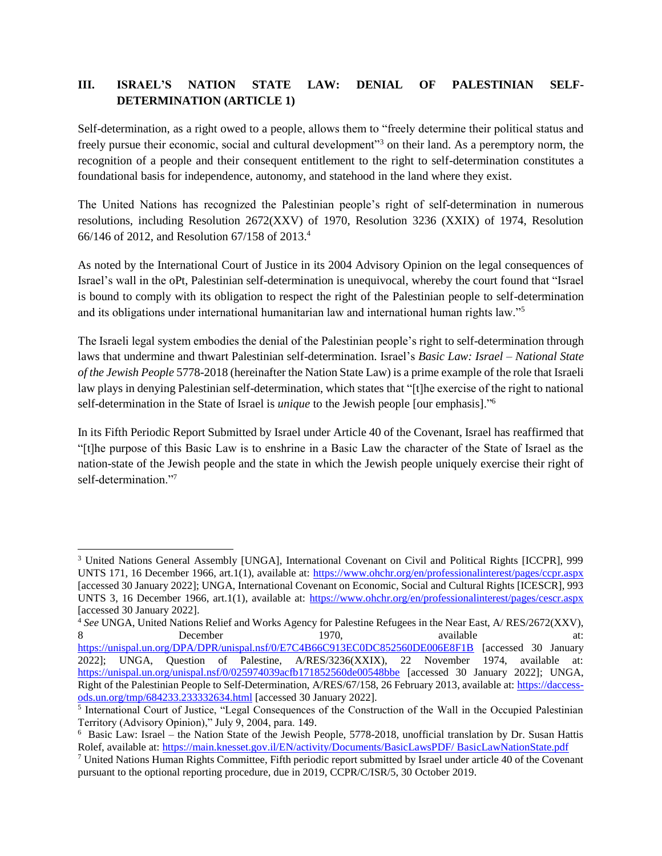# **III. ISRAEL'S NATION STATE LAW: DENIAL OF PALESTINIAN SELF-DETERMINATION (ARTICLE 1)**

Self-determination, as a right owed to a people, allows them to "freely determine their political status and freely pursue their economic, social and cultural development"<sup>3</sup> on their land. As a peremptory norm, the recognition of a people and their consequent entitlement to the right to self-determination constitutes a foundational basis for independence, autonomy, and statehood in the land where they exist.

The United Nations has recognized the Palestinian people's right of self-determination in numerous resolutions, including Resolution 2672(XXV) of 1970, Resolution 3236 (XXIX) of 1974, Resolution 66/146 of 2012, and Resolution 67/158 of 2013.<sup>4</sup>

As noted by the International Court of Justice in its 2004 Advisory Opinion on the legal consequences of Israel's wall in the oPt, Palestinian self-determination is unequivocal, whereby the court found that "Israel is bound to comply with its obligation to respect the right of the Palestinian people to self-determination and its obligations under international humanitarian law and international human rights law."<sup>5</sup>

The Israeli legal system embodies the denial of the Palestinian people's right to self-determination through laws that undermine and thwart Palestinian self-determination. Israel's *Basic Law: Israel – National State of the Jewish People* 5778-2018 (hereinafter the Nation State Law) is a prime example of the role that Israeli law plays in denying Palestinian self-determination, which states that "[t]he exercise of the right to national self-determination in the State of Israel is *unique* to the Jewish people [our emphasis]."<sup>6</sup>

In its Fifth Periodic Report Submitted by Israel under Article 40 of the Covenant, Israel has reaffirmed that "[t]he purpose of this Basic Law is to enshrine in a Basic Law the character of the State of Israel as the nation-state of the Jewish people and the state in which the Jewish people uniquely exercise their right of self-determination."<sup>7</sup>

 $\overline{a}$ 

<sup>3</sup> United Nations General Assembly [UNGA], International Covenant on Civil and Political Rights [ICCPR], 999 UNTS 171, 16 December 1966, art.1(1), available at:<https://www.ohchr.org/en/professionalinterest/pages/ccpr.aspx> [accessed 30 January 2022]; UNGA, International Covenant on Economic, Social and Cultural Rights [ICESCR], 993 UNTS 3, 16 December 1966, art.1(1), available at:<https://www.ohchr.org/en/professionalinterest/pages/cescr.aspx> [accessed 30 January 2022].

<sup>4</sup> *See* UNGA, United Nations Relief and Works Agency for Palestine Refugees in the Near East, A/ RES/2672(XXV), 8 December 1970, available at: <https://unispal.un.org/DPA/DPR/unispal.nsf/0/E7C4B66C913EC0DC852560DE006E8F1B> [accessed 30 January 2022]; UNGA, Question of Palestine, A/RES/3236(XXIX), 22 November 1974, available at: <https://unispal.un.org/unispal.nsf/0/025974039acfb171852560de00548bbe> [accessed 30 January 2022]; UNGA, Right of the Palestinian People to Self-Determination, A/RES/67/158, 26 February 2013, available at: [https://daccess](https://daccess-ods.un.org/tmp/684233.233332634.html)[ods.un.org/tmp/684233.233332634.html](https://daccess-ods.un.org/tmp/684233.233332634.html) [accessed 30 January 2022].

<sup>&</sup>lt;sup>5</sup> International Court of Justice, "Legal Consequences of the Construction of the Wall in the Occupied Palestinian Territory (Advisory Opinion)," July 9, 2004, para. 149.

<sup>6</sup> Basic Law: Israel – the Nation State of the Jewish People, 5778-2018, unofficial translation by Dr. Susan Hattis Rolef, available at: [https://main.knesset.gov.il/EN/activity/Documents/BasicLawsPDF/ BasicLawNationState.pdf](https://main.knesset.gov.il/EN/activity/Documents/BasicLawsPDF/%20BasicLawNationState.pdf)

<sup>7</sup> United Nations Human Rights Committee, Fifth periodic report submitted by Israel under article 40 of the Covenant pursuant to the optional reporting procedure, due in 2019, CCPR/C/ISR/5, 30 October 2019.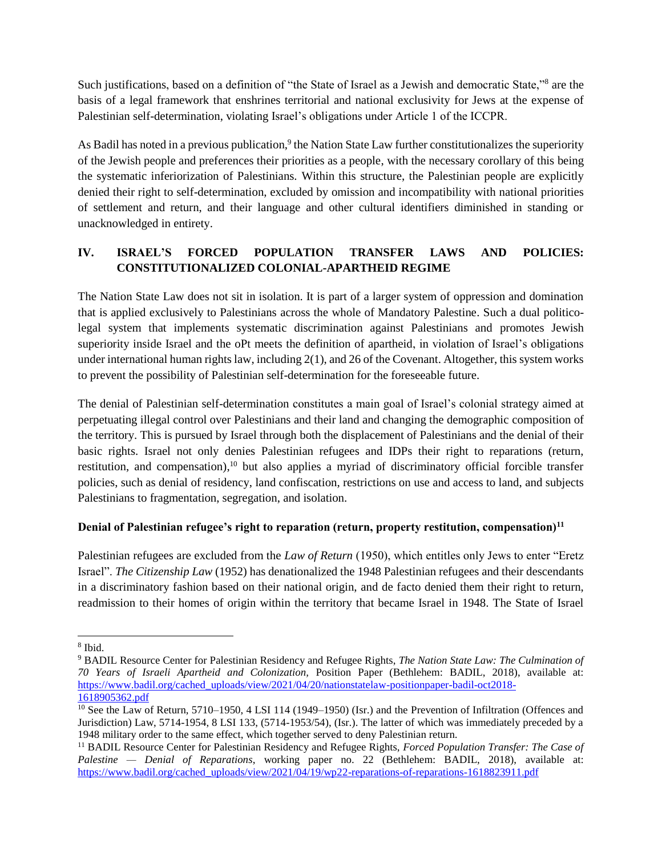Such justifications, based on a definition of "the State of Israel as a Jewish and democratic State,"<sup>8</sup> are the basis of a legal framework that enshrines territorial and national exclusivity for Jews at the expense of Palestinian self-determination, violating Israel's obligations under Article 1 of the ICCPR.

As Badil has noted in a previous publication,<sup>9</sup> the Nation State Law further constitutionalizes the superiority of the Jewish people and preferences their priorities as a people, with the necessary corollary of this being the systematic inferiorization of Palestinians. Within this structure, the Palestinian people are explicitly denied their right to self-determination, excluded by omission and incompatibility with national priorities of settlement and return, and their language and other cultural identifiers diminished in standing or unacknowledged in entirety.

# **IV. ISRAEL'S FORCED POPULATION TRANSFER LAWS AND POLICIES: CONSTITUTIONALIZED COLONIAL-APARTHEID REGIME**

The Nation State Law does not sit in isolation. It is part of a larger system of oppression and domination that is applied exclusively to Palestinians across the whole of Mandatory Palestine. Such a dual politicolegal system that implements systematic discrimination against Palestinians and promotes Jewish superiority inside Israel and the oPt meets the definition of apartheid, in violation of Israel's obligations under international human rights law, including 2(1), and 26 of the Covenant. Altogether, this system works to prevent the possibility of Palestinian self-determination for the foreseeable future.

The denial of Palestinian self-determination constitutes a main goal of Israel's colonial strategy aimed at perpetuating illegal control over Palestinians and their land and changing the demographic composition of the territory. This is pursued by Israel through both the displacement of Palestinians and the denial of their basic rights. Israel not only denies Palestinian refugees and IDPs their right to reparations (return, restitution, and compensation),<sup>10</sup> but also applies a myriad of discriminatory official forcible transfer policies, such as denial of residency, land confiscation, restrictions on use and access to land, and subjects Palestinians to fragmentation, segregation, and isolation.

## **Denial of Palestinian refugee's right to reparation (return, property restitution, compensation)<sup>11</sup>**

Palestinian refugees are excluded from the *Law of Return* (1950), which entitles only Jews to enter "Eretz Israel". *The Citizenship Law* (1952) has denationalized the 1948 Palestinian refugees and their descendants in a discriminatory fashion based on their national origin, and de facto denied them their right to return, readmission to their homes of origin within the territory that became Israel in 1948. The State of Israel

 $\overline{a}$ 8 Ibid.

<sup>9</sup> BADIL Resource Center for Palestinian Residency and Refugee Rights, *The Nation State Law: The Culmination of 70 Years of Israeli Apartheid and Colonization,* Position Paper (Bethlehem: BADIL, 2018), available at: [https://www.badil.org/cached\\_uploads/view/2021/04/20/nationstatelaw-positionpaper-badil-oct2018-](https://www.badil.org/cached_uploads/view/2021/04/20/nationstatelaw-positionpaper-badil-oct2018-1618905362.pdf) [1618905362.pdf](https://www.badil.org/cached_uploads/view/2021/04/20/nationstatelaw-positionpaper-badil-oct2018-1618905362.pdf)

 $\frac{10}{10}$  See the Law of Return, 5710–1950, 4 LSI 114 (1949–1950) (Isr.) and the Prevention of Infiltration (Offences and Jurisdiction) Law, 5714-1954, 8 LSI 133, (5714-1953/54), (Isr.). The latter of which was immediately preceded by a 1948 military order to the same effect, which together served to deny Palestinian return.

<sup>11</sup> BADIL Resource Center for Palestinian Residency and Refugee Rights, *Forced Population Transfer: The Case of Palestine — Denial of Reparations*, working paper no. 22 (Bethlehem: BADIL, 2018), available at: [https://www.badil.org/cached\\_uploads/view/2021/04/19/wp22-reparations-of-reparations-1618823911.pdf](https://www.badil.org/cached_uploads/view/2021/04/19/wp22-reparations-of-reparations-1618823911.pdf)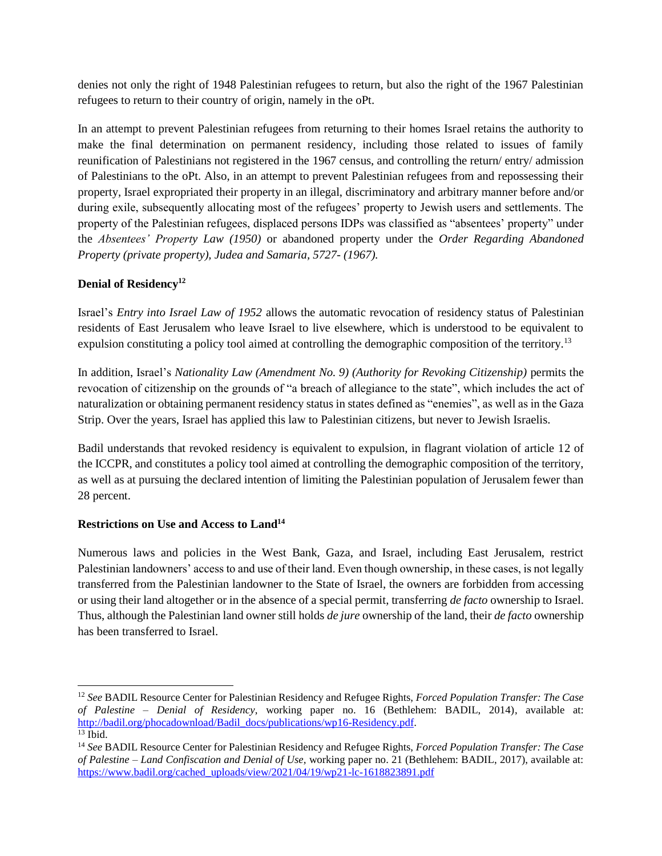denies not only the right of 1948 Palestinian refugees to return, but also the right of the 1967 Palestinian refugees to return to their country of origin, namely in the oPt.

In an attempt to prevent Palestinian refugees from returning to their homes Israel retains the authority to make the final determination on permanent residency, including those related to issues of family reunification of Palestinians not registered in the 1967 census, and controlling the return/ entry/ admission of Palestinians to the oPt. Also, in an attempt to prevent Palestinian refugees from and repossessing their property, Israel expropriated their property in an illegal, discriminatory and arbitrary manner before and/or during exile, subsequently allocating most of the refugees' property to Jewish users and settlements. The property of the Palestinian refugees, displaced persons IDPs was classified as "absentees' property" under the *Absentees' Property Law (1950)* or abandoned property under the *Order Regarding Abandoned Property (private property), Judea and Samaria, 5727- (1967).*

#### **Denial of Residency 12**

Israel's *Entry into Israel Law of 1952* allows the automatic revocation of residency status of Palestinian residents of East Jerusalem who leave Israel to live elsewhere, which is understood to be equivalent to expulsion constituting a policy tool aimed at controlling the demographic composition of the territory.<sup>13</sup>

In addition, Israel's *Nationality Law (Amendment No. 9) (Authority for Revoking Citizenship)* permits the revocation of citizenship on the grounds of "a breach of allegiance to the state", which includes the act of naturalization or obtaining permanent residency status in states defined as "enemies", as well as in the Gaza Strip. Over the years, Israel has applied this law to Palestinian citizens, but never to Jewish Israelis.

Badil understands that revoked residency is equivalent to expulsion, in flagrant violation of article 12 of the ICCPR, and constitutes a policy tool aimed at controlling the demographic composition of the territory, as well as at pursuing the declared intention of limiting the Palestinian population of Jerusalem fewer than 28 percent.

#### **Restrictions on Use and Access to Land<sup>14</sup>**

Numerous laws and policies in the West Bank, Gaza, and Israel, including East Jerusalem, restrict Palestinian landowners' access to and use of their land. Even though ownership, in these cases, is not legally transferred from the Palestinian landowner to the State of Israel, the owners are forbidden from accessing or using their land altogether or in the absence of a special permit, transferring *de facto* ownership to Israel. Thus, although the Palestinian land owner still holds *de jure* ownership of the land, their *de facto* ownership has been transferred to Israel.

<sup>12</sup> *See* BADIL Resource Center for Palestinian Residency and Refugee Rights, *Forced Population Transfer: The Case of Palestine – Denial of Residency*, working paper no. 16 (Bethlehem: BADIL, 2014), available at: [http://badil.org/phocadownload/Badil\\_docs/publications/wp16-Residency.pdf.](http://badil.org/phocadownload/Badil_docs/publications/wp16-Residency.pdf)  $13$  Ibid.

<sup>14</sup> *See* BADIL Resource Center for Palestinian Residency and Refugee Rights, *Forced Population Transfer: The Case of Palestine – Land Confiscation and Denial of Use,* working paper no. 21 (Bethlehem: BADIL, 2017), available at: [https://www.badil.org/cached\\_uploads/view/2021/04/19/wp21-lc-1618823891.pdf](https://www.badil.org/cached_uploads/view/2021/04/19/wp21-lc-1618823891.pdf)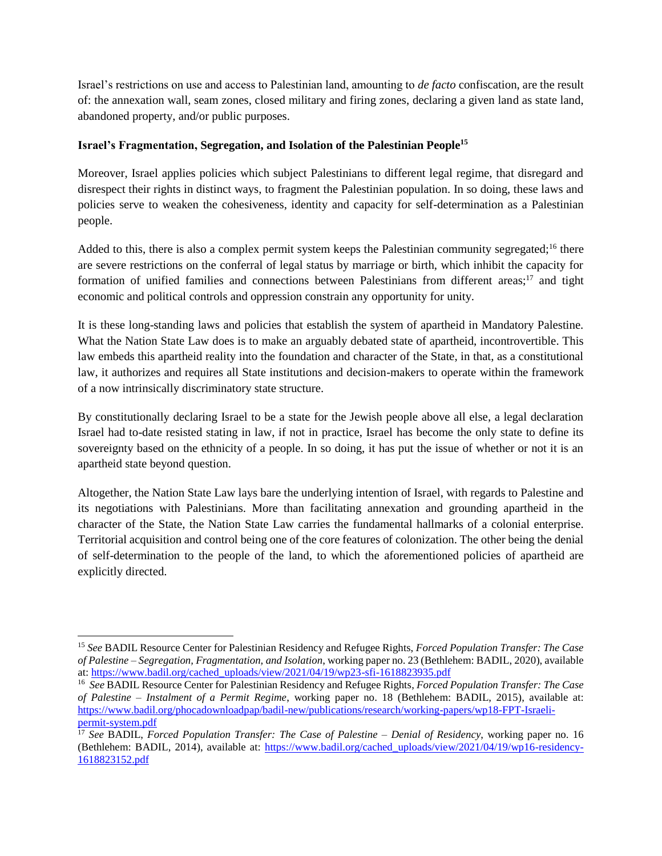Israel's restrictions on use and access to Palestinian land, amounting to *de facto* confiscation, are the result of: the annexation wall, seam zones, closed military and firing zones, declaring a given land as state land, abandoned property, and/or public purposes.

#### **Israel's Fragmentation, Segregation, and Isolation of the Palestinian People<sup>15</sup>**

Moreover, Israel applies policies which subject Palestinians to different legal regime, that disregard and disrespect their rights in distinct ways, to fragment the Palestinian population. In so doing, these laws and policies serve to weaken the cohesiveness, identity and capacity for self-determination as a Palestinian people.

Added to this, there is also a complex permit system keeps the Palestinian community segregated;<sup>16</sup> there are severe restrictions on the conferral of legal status by marriage or birth, which inhibit the capacity for formation of unified families and connections between Palestinians from different areas;<sup>17</sup> and tight economic and political controls and oppression constrain any opportunity for unity.

It is these long-standing laws and policies that establish the system of apartheid in Mandatory Palestine. What the Nation State Law does is to make an arguably debated state of apartheid, incontrovertible. This law embeds this apartheid reality into the foundation and character of the State, in that, as a constitutional law, it authorizes and requires all State institutions and decision-makers to operate within the framework of a now intrinsically discriminatory state structure.

By constitutionally declaring Israel to be a state for the Jewish people above all else, a legal declaration Israel had to-date resisted stating in law, if not in practice, Israel has become the only state to define its sovereignty based on the ethnicity of a people. In so doing, it has put the issue of whether or not it is an apartheid state beyond question.

Altogether, the Nation State Law lays bare the underlying intention of Israel, with regards to Palestine and its negotiations with Palestinians. More than facilitating annexation and grounding apartheid in the character of the State, the Nation State Law carries the fundamental hallmarks of a colonial enterprise. Territorial acquisition and control being one of the core features of colonization. The other being the denial of self-determination to the people of the land, to which the aforementioned policies of apartheid are explicitly directed.

 $\overline{a}$ 

<sup>15</sup> *See* BADIL Resource Center for Palestinian Residency and Refugee Rights, *Forced Population Transfer: The Case of Palestine – Segregation, Fragmentation, and Isolation*, working paper no. 23 (Bethlehem: BADIL, 2020), available at: [https://www.badil.org/cached\\_uploads/view/2021/04/19/wp23-sfi-1618823935.pdf](https://www.badil.org/cached_uploads/view/2021/04/19/wp23-sfi-1618823935.pdf)

<sup>16</sup> *See* BADIL Resource Center for Palestinian Residency and Refugee Rights, *Forced Population Transfer: The Case of Palestine – Instalment of a Permit Regime*, working paper no. 18 (Bethlehem: BADIL, 2015), available at: [https://www.badil.org/phocadownloadpap/badil-new/publications/research/working-papers/wp18-FPT-Israeli](https://www.badil.org/phocadownloadpap/badil-new/publications/research/working-papers/wp18-FPT-Israeli-permit-system.pdf)[permit-system.pdf](https://www.badil.org/phocadownloadpap/badil-new/publications/research/working-papers/wp18-FPT-Israeli-permit-system.pdf)

<sup>17</sup> *See* BADIL, *Forced Population Transfer: The Case of Palestine – Denial of Residency*, working paper no. 16 (Bethlehem: BADIL, 2014), available at: [https://www.badil.org/cached\\_uploads/view/2021/04/19/wp16-residency-](https://www.badil.org/cached_uploads/view/2021/04/19/wp16-residency-1618823152.pdf)[1618823152.pdf](https://www.badil.org/cached_uploads/view/2021/04/19/wp16-residency-1618823152.pdf)